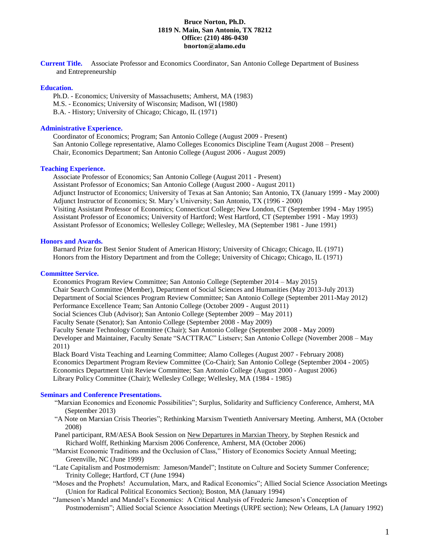## **Bruce Norton, Ph.D. 1819 N. Main, San Antonio, TX 78212 Office: (210) 486-0430 bnorton@alamo.edu**

**Current Title.** Associate Professor and Economics Coordinator, San Antonio College Department of Business and Entrepreneurship

### **Education.**

Ph.D. - Economics; University of Massachusetts; Amherst, MA (1983)

M.S. - Economics; University of Wisconsin; Madison, WI (1980)

B.A. - History; University of Chicago; Chicago, IL (1971)

# **Administrative Experience.**

Coordinator of Economics; Program; San Antonio College (August 2009 - Present) San Antonio College representative, Alamo Colleges Economics Discipline Team (August 2008 – Present) Chair, Economics Department; San Antonio College (August 2006 - August 2009)

## **Teaching Experience.**

Associate Professor of Economics; San Antonio College (August 2011 - Present) Assistant Professor of Economics; San Antonio College (August 2000 - August 2011) Adjunct Instructor of Economics; University of Texas at San Antonio; San Antonio, TX (January 1999 - May 2000) Adjunct Instructor of Economics; St. Mary's University; San Antonio, TX (1996 - 2000) Visiting Assistant Professor of Economics; Connecticut College; New London, CT (September 1994 - May 1995) Assistant Professor of Economics; University of Hartford; West Hartford, CT (September 1991 - May 1993) Assistant Professor of Economics; Wellesley College; Wellesley, MA (September 1981 - June 1991)

## **Honors and Awards.**

Barnard Prize for Best Senior Student of American History; University of Chicago; Chicago, IL (1971) Honors from the History Department and from the College; University of Chicago; Chicago, IL (1971)

## **Committee Service.**

Economics Program Review Committee; San Antonio College (September 2014 – May 2015) Chair Search Committee (Member), Department of Social Sciences and Humanities (May 2013-July 2013) Department of Social Sciences Program Review Committee; San Antonio College (September 2011-May 2012) Performance Excellence Team; San Antonio College (October 2009 - August 2011) Social Sciences Club (Advisor); San Antonio College (September 2009 – May 2011) Faculty Senate (Senator); San Antonio College (September 2008 - May 2009) Faculty Senate Technology Committee (Chair); San Antonio College (September 2008 - May 2009) Developer and Maintainer, Faculty Senate "SACTTRAC" Listserv; San Antonio College (November 2008 – May 2011) Black Board Vista Teaching and Learning Committee; Alamo Colleges (August 2007 - February 2008) Economics Department Program Review Committee (Co-Chair); San Antonio College (September 2004 - 2005)

Economics Department Unit Review Committee; San Antonio College (August 2000 - August 2006)

Library Policy Committee (Chair); Wellesley College; Wellesley, MA (1984 - 1985)

#### **Seminars and Conference Presentations.**

- "Marxian Economics and Economic Possibilities"; Surplus, Solidarity and Sufficiency Conference, Amherst, MA (September 2013)
- "A Note on Marxian Crisis Theories"; Rethinking Marxism Twentieth Anniversary Meeting. Amherst, MA (October 2008)
- Panel participant, RM/AESA Book Session on New Departures in Marxian Theory, by Stephen Resnick and Richard Wolff, Rethinking Marxism 2006 Conference, Amherst, MA (October 2006)
- "Marxist Economic Traditions and the Occlusion of Class," History of Economics Society Annual Meeting; Greenville, NC (June 1999)
- "Late Capitalism and Postmodernism: Jameson/Mandel"; Institute on Culture and Society Summer Conference; Trinity College; Hartford, CT (June 1994)
- "Moses and the Prophets! Accumulation, Marx, and Radical Economics"; Allied Social Science Association Meetings (Union for Radical Political Economics Section); Boston, MA (January 1994)
- "Jameson's Mandel and Mandel's Economics: A Critical Analysis of Frederic Jameson's Conception of Postmodernism"; Allied Social Science Association Meetings (URPE section); New Orleans, LA (January 1992)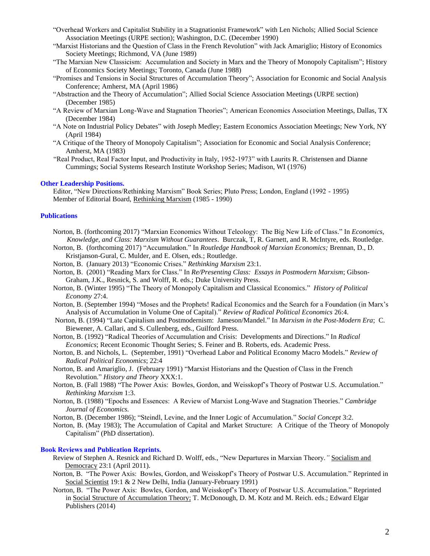- "Overhead Workers and Capitalist Stability in a Stagnationist Framework" with Len Nichols; Allied Social Science Association Meetings (URPE section); Washington, D.C. (December 1990)
- "Marxist Historians and the Question of Class in the French Revolution" with Jack Amariglio; History of Economics Society Meetings; Richmond, VA (June 1989)
- "The Marxian New Classicism: Accumulation and Society in Marx and the Theory of Monopoly Capitalism"; History of Economics Society Meetings; Toronto, Canada (June 1988)
- "Promises and Tensions in Social Structures of Accumulation Theory"; Association for Economic and Social Analysis Conference; Amherst, MA (April 1986)
- "Abstraction and the Theory of Accumulation"; Allied Social Science Association Meetings (URPE section) (December 1985)
- "A Review of Marxian Long-Wave and Stagnation Theories"; American Economics Association Meetings, Dallas, TX (December 1984)
- "A Note on Industrial Policy Debates" with Joseph Medley; Eastern Economics Association Meetings; New York, NY (April 1984)
- "A Critique of the Theory of Monopoly Capitalism"; Association for Economic and Social Analysis Conference; Amherst, MA (1983)
- "Real Product, Real Factor Input, and Productivity in Italy, 1952-1973" with Laurits R. Christensen and Dianne Cummings; Social Systems Research Institute Workshop Series; Madison, WI (1976)

#### **Other Leadership Positions.**

Editor, "New Directions/Rethinking Marxism" Book Series; Pluto Press; London, England (1992 - 1995) Member of Editorial Board, Rethinking Marxism (1985 - 1990)

## **Publications**

- Norton, B. (forthcoming 2017) "Marxian Economics Without Teleology: The Big New Life of Class." In *Economics, Knowledge, and Class: Marxism Without Guarantees*. Burczak, T, R. Garnett, and R. McIntyre, eds. Routledge.
- Norton, B. (forthcoming 2017) "Accumulat**i**on." In *Routledge Handbook of Marxian Economics;* Brennan, D., D. Kristjanson-Gural, C. Mulder, and E. Olsen, eds.; Routledge.
- Norton, B. (January 2013) "Economic Crises." *Rethinking Marxism* 23:1.
- Norton, B. (2001) "Reading Marx for Class." In *Re/Presenting Class: Essays in Postmodern Marxism*; Gibson-Graham, J.K., Resnick, S. and Wolff, R. eds.; Duke University Press.
- Norton, B. (Winter 1995) "The Theory of Monopoly Capitalism and Classical Economics." *History of Political Economy* 27:4.
- Norton, B. (September 1994) "Moses and the Prophets! Radical Economics and the Search for a Foundation (in Marx's Analysis of Accumulation in Volume One of Capital)." *Review of Radical Political Economics* 26:4.
- Norton, B. (1994) "Late Capitalism and Postmodernism: Jameson/Mandel." In *Marxism in the Post-Modern Era*; C. Biewener, A. Callari, and S. Cullenberg, eds., Guilford Press.
- Norton, B. (1992) "Radical Theories of Accumulation and Crisis: Developments and Directions." In *Radical Economics*; Recent Economic Thought Series; S. Feiner and B. Roberts, eds. Academic Press.
- Norton, B. and Nichols, L. (September, 1991) "Overhead Labor and Political Economy Macro Models." *Review of Radical Political Economics*; 22:4
- Norton, B. and Amariglio, J. (February 1991) "Marxist Historians and the Question of Class in the French Revolution." *History and Theory* XXX:1.
- Norton, B. (Fall 1988) "The Power Axis: Bowles, Gordon, and Weisskopf's Theory of Postwar U.S. Accumulation." *Rethinking Marxism* 1:3.
- Norton, B. (1988) "Epochs and Essences: A Review of Marxist Long-Wave and Stagnation Theories." *Cambridge Journal of Economics.*
- Norton, B. (December 1986); "Steindl, Levine, and the Inner Logic of Accumulation." *Social Concept* 3:2.
- Norton, B. (May 1983); The Accumulation of Capital and Market Structure: A Critique of the Theory of Monopoly Capitalism" (PhD dissertation).

#### **Book Reviews and Publication Reprints.**

- Review of Stephen A. Resnick and Richard D. Wolff, eds., "New Departures in Marxian Theory*."* Socialism and Democracy 23:1 (April 2011).
- Norton, B. "The Power Axis: Bowles, Gordon, and Weisskopf's Theory of Postwar U.S. Accumulation." Reprinted in Social Scientist 19:1 & 2 New Delhi, India (January-February 1991)
- Norton, B. "The Power Axis: Bowles, Gordon, and Weisskopf's Theory of Postwar U.S. Accumulation." Reprinted in Social Structure of Accumulation Theory; T. McDonough, D. M. Kotz and M. Reich. eds.; Edward Elgar Publishers (2014)